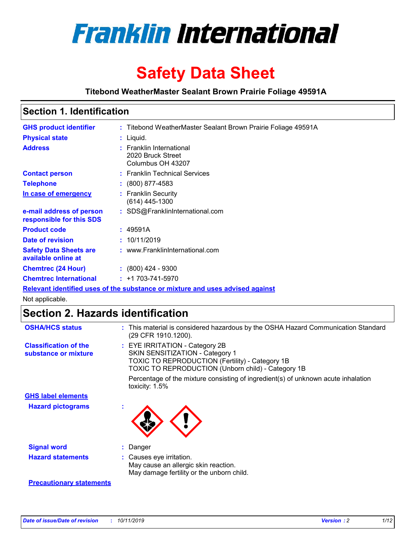

# **Safety Data Sheet**

**Titebond WeatherMaster Sealant Brown Prairie Foliage 49591A**

### **Section 1. Identification**

| <b>GHS product identifier</b>                        | : Titebond WeatherMaster Sealant Brown Prairie Foliage 49591A                 |
|------------------------------------------------------|-------------------------------------------------------------------------------|
| <b>Physical state</b>                                | : Liquid.                                                                     |
| <b>Address</b>                                       | : Franklin International<br>2020 Bruck Street<br>Columbus OH 43207            |
| <b>Contact person</b>                                | : Franklin Technical Services                                                 |
| <b>Telephone</b>                                     | $\colon$ (800) 877-4583                                                       |
| In case of emergency                                 | : Franklin Security<br>$(614)$ 445-1300                                       |
| e-mail address of person<br>responsible for this SDS | : SDS@FranklinInternational.com                                               |
| <b>Product code</b>                                  | : 49591A                                                                      |
| Date of revision                                     | : 10/11/2019                                                                  |
| <b>Safety Data Sheets are</b><br>available online at | : www.FranklinInternational.com                                               |
| <b>Chemtrec (24 Hour)</b>                            | $: (800)$ 424 - 9300                                                          |
| <b>Chemtrec International</b>                        | $: +1703 - 741 - 5970$                                                        |
|                                                      | Relevant identified uses of the substance or mixture and uses advised against |

Not applicable.

### **Section 2. Hazards identification**

| <b>OSHA/HCS status</b>                               | : This material is considered hazardous by the OSHA Hazard Communication Standard<br>(29 CFR 1910.1200).                                                                                 |
|------------------------------------------------------|------------------------------------------------------------------------------------------------------------------------------------------------------------------------------------------|
| <b>Classification of the</b><br>substance or mixture | : EYE IRRITATION - Category 2B<br>SKIN SENSITIZATION - Category 1<br><b>TOXIC TO REPRODUCTION (Fertility) - Category 1B</b><br><b>TOXIC TO REPRODUCTION (Unborn child) - Category 1B</b> |
|                                                      | Percentage of the mixture consisting of ingredient(s) of unknown acute inhalation<br>toxicity: $1.5\%$                                                                                   |
| <b>GHS label elements</b>                            |                                                                                                                                                                                          |
| <b>Hazard pictograms</b>                             |                                                                                                                                                                                          |
| <b>Signal word</b>                                   | : Danger                                                                                                                                                                                 |
| <b>Hazard statements</b>                             | : Causes eye irritation.<br>May cause an allergic skin reaction.<br>May damage fertility or the unborn child.                                                                            |
| <b>Precautionary statements</b>                      |                                                                                                                                                                                          |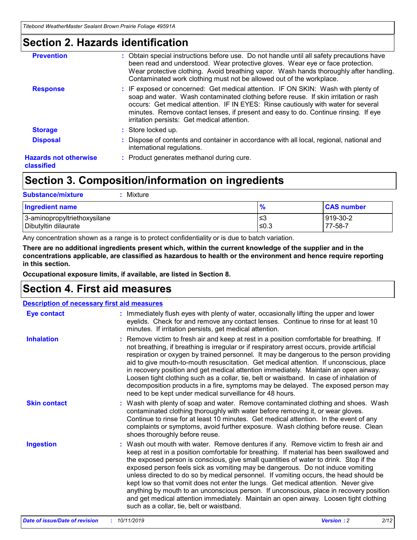### **Section 2. Hazards identification**

| <b>Prevention</b>                          | : Obtain special instructions before use. Do not handle until all safety precautions have<br>been read and understood. Wear protective gloves. Wear eye or face protection.<br>Wear protective clothing. Avoid breathing vapor. Wash hands thoroughly after handling.<br>Contaminated work clothing must not be allowed out of the workplace.                                                        |
|--------------------------------------------|------------------------------------------------------------------------------------------------------------------------------------------------------------------------------------------------------------------------------------------------------------------------------------------------------------------------------------------------------------------------------------------------------|
| <b>Response</b>                            | : IF exposed or concerned: Get medical attention. IF ON SKIN: Wash with plenty of<br>soap and water. Wash contaminated clothing before reuse. If skin irritation or rash<br>occurs: Get medical attention. IF IN EYES: Rinse cautiously with water for several<br>minutes. Remove contact lenses, if present and easy to do. Continue rinsing. If eye<br>irritation persists: Get medical attention. |
| <b>Storage</b>                             | : Store locked up.                                                                                                                                                                                                                                                                                                                                                                                   |
| <b>Disposal</b>                            | : Dispose of contents and container in accordance with all local, regional, national and<br>international regulations.                                                                                                                                                                                                                                                                               |
| <b>Hazards not otherwise</b><br>classified | : Product generates methanol during cure.                                                                                                                                                                                                                                                                                                                                                            |
|                                            |                                                                                                                                                                                                                                                                                                                                                                                                      |

## **Section 3. Composition/information on ingredients**

| <b>Substance/mixture</b><br>Mixture                  |               |                     |
|------------------------------------------------------|---------------|---------------------|
| <b>Ingredient name</b>                               | $\frac{9}{6}$ | <b>CAS number</b>   |
| 3-aminopropyltriethoxysilane<br>Dibutyltin dilaurate | l≤3<br>$≤0.3$ | 919-30-2<br>77-58-7 |

Any concentration shown as a range is to protect confidentiality or is due to batch variation.

**There are no additional ingredients present which, within the current knowledge of the supplier and in the concentrations applicable, are classified as hazardous to health or the environment and hence require reporting in this section.**

**Occupational exposure limits, if available, are listed in Section 8.**

### **Section 4. First aid measures**

| <b>Description of necessary first aid measures</b> |                                                                                                                                                                                                                                                                                                                                                                                                                                                                                                                                                                                                                                                                                                                                                                           |  |  |  |
|----------------------------------------------------|---------------------------------------------------------------------------------------------------------------------------------------------------------------------------------------------------------------------------------------------------------------------------------------------------------------------------------------------------------------------------------------------------------------------------------------------------------------------------------------------------------------------------------------------------------------------------------------------------------------------------------------------------------------------------------------------------------------------------------------------------------------------------|--|--|--|
| <b>Eye contact</b>                                 | : Immediately flush eyes with plenty of water, occasionally lifting the upper and lower<br>eyelids. Check for and remove any contact lenses. Continue to rinse for at least 10<br>minutes. If irritation persists, get medical attention.                                                                                                                                                                                                                                                                                                                                                                                                                                                                                                                                 |  |  |  |
| <b>Inhalation</b>                                  | : Remove victim to fresh air and keep at rest in a position comfortable for breathing. If<br>not breathing, if breathing is irregular or if respiratory arrest occurs, provide artificial<br>respiration or oxygen by trained personnel. It may be dangerous to the person providing<br>aid to give mouth-to-mouth resuscitation. Get medical attention. If unconscious, place<br>in recovery position and get medical attention immediately. Maintain an open airway.<br>Loosen tight clothing such as a collar, tie, belt or waistband. In case of inhalation of<br>decomposition products in a fire, symptoms may be delayed. The exposed person may<br>need to be kept under medical surveillance for 48 hours.                                                       |  |  |  |
| <b>Skin contact</b>                                | : Wash with plenty of soap and water. Remove contaminated clothing and shoes. Wash<br>contaminated clothing thoroughly with water before removing it, or wear gloves.<br>Continue to rinse for at least 10 minutes. Get medical attention. In the event of any<br>complaints or symptoms, avoid further exposure. Wash clothing before reuse. Clean<br>shoes thoroughly before reuse.                                                                                                                                                                                                                                                                                                                                                                                     |  |  |  |
| <b>Ingestion</b>                                   | : Wash out mouth with water. Remove dentures if any. Remove victim to fresh air and<br>keep at rest in a position comfortable for breathing. If material has been swallowed and<br>the exposed person is conscious, give small quantities of water to drink. Stop if the<br>exposed person feels sick as vomiting may be dangerous. Do not induce vomiting<br>unless directed to do so by medical personnel. If vomiting occurs, the head should be<br>kept low so that vomit does not enter the lungs. Get medical attention. Never give<br>anything by mouth to an unconscious person. If unconscious, place in recovery position<br>and get medical attention immediately. Maintain an open airway. Loosen tight clothing<br>such as a collar, tie, belt or waistband. |  |  |  |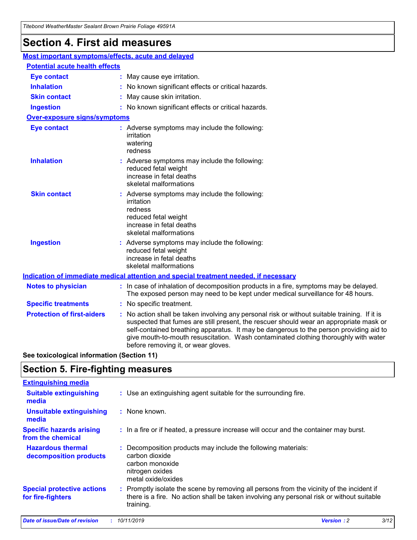## **Section 4. First aid measures**

| Most important symptoms/effects, acute and delayed |  |                                                                                                                                                                                                                                                                                                                                                                                                                 |  |  |
|----------------------------------------------------|--|-----------------------------------------------------------------------------------------------------------------------------------------------------------------------------------------------------------------------------------------------------------------------------------------------------------------------------------------------------------------------------------------------------------------|--|--|
| <b>Potential acute health effects</b>              |  |                                                                                                                                                                                                                                                                                                                                                                                                                 |  |  |
| Eye contact                                        |  | : May cause eye irritation.                                                                                                                                                                                                                                                                                                                                                                                     |  |  |
| <b>Inhalation</b>                                  |  | : No known significant effects or critical hazards.                                                                                                                                                                                                                                                                                                                                                             |  |  |
| <b>Skin contact</b>                                |  | : May cause skin irritation.                                                                                                                                                                                                                                                                                                                                                                                    |  |  |
| <b>Ingestion</b>                                   |  | : No known significant effects or critical hazards.                                                                                                                                                                                                                                                                                                                                                             |  |  |
| Over-exposure signs/symptoms                       |  |                                                                                                                                                                                                                                                                                                                                                                                                                 |  |  |
| <b>Eye contact</b>                                 |  | : Adverse symptoms may include the following:<br>irritation<br>watering<br>redness                                                                                                                                                                                                                                                                                                                              |  |  |
| <b>Inhalation</b>                                  |  | : Adverse symptoms may include the following:<br>reduced fetal weight<br>increase in fetal deaths<br>skeletal malformations                                                                                                                                                                                                                                                                                     |  |  |
| <b>Skin contact</b>                                |  | : Adverse symptoms may include the following:<br>irritation<br>redness<br>reduced fetal weight<br>increase in fetal deaths<br>skeletal malformations                                                                                                                                                                                                                                                            |  |  |
| <b>Ingestion</b>                                   |  | : Adverse symptoms may include the following:<br>reduced fetal weight<br>increase in fetal deaths<br>skeletal malformations                                                                                                                                                                                                                                                                                     |  |  |
|                                                    |  | <b>Indication of immediate medical attention and special treatment needed, if necessary</b>                                                                                                                                                                                                                                                                                                                     |  |  |
| <b>Notes to physician</b>                          |  | : In case of inhalation of decomposition products in a fire, symptoms may be delayed.<br>The exposed person may need to be kept under medical surveillance for 48 hours.                                                                                                                                                                                                                                        |  |  |
| <b>Specific treatments</b>                         |  | : No specific treatment.                                                                                                                                                                                                                                                                                                                                                                                        |  |  |
| <b>Protection of first-aiders</b>                  |  | : No action shall be taken involving any personal risk or without suitable training. If it is<br>suspected that fumes are still present, the rescuer should wear an appropriate mask or<br>self-contained breathing apparatus. It may be dangerous to the person providing aid to<br>give mouth-to-mouth resuscitation. Wash contaminated clothing thoroughly with water<br>before removing it, or wear gloves. |  |  |

**See toxicological information (Section 11)**

### **Section 5. Fire-fighting measures**

| <b>Extinguishing media</b>                             |                                                                                                                                                                                                     |
|--------------------------------------------------------|-----------------------------------------------------------------------------------------------------------------------------------------------------------------------------------------------------|
| <b>Suitable extinguishing</b><br>media                 | : Use an extinguishing agent suitable for the surrounding fire.                                                                                                                                     |
| <b>Unsuitable extinguishing</b><br>media               | : None known.                                                                                                                                                                                       |
| <b>Specific hazards arising</b><br>from the chemical   | : In a fire or if heated, a pressure increase will occur and the container may burst.                                                                                                               |
| <b>Hazardous thermal</b><br>decomposition products     | : Decomposition products may include the following materials:<br>carbon dioxide<br>carbon monoxide<br>nitrogen oxides<br>metal oxide/oxides                                                         |
| <b>Special protective actions</b><br>for fire-fighters | : Promptly isolate the scene by removing all persons from the vicinity of the incident if<br>there is a fire. No action shall be taken involving any personal risk or without suitable<br>training. |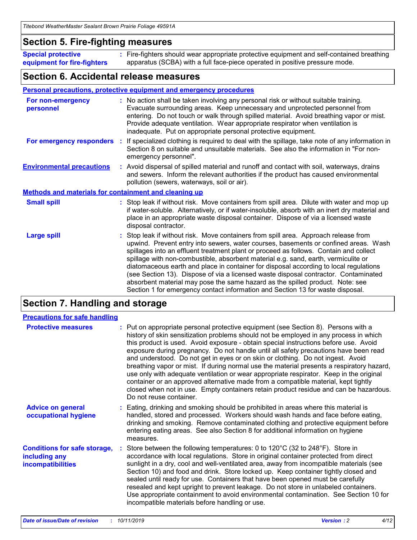### **Section 5. Fire-fighting measures**

**Special protective equipment for fire-fighters** Fire-fighters should wear appropriate protective equipment and self-contained breathing **:** apparatus (SCBA) with a full face-piece operated in positive pressure mode.

### **Section 6. Accidental release measures**

#### **Personal precautions, protective equipment and emergency procedures**

| For non-emergency<br>personnel                               |  | : No action shall be taken involving any personal risk or without suitable training.<br>Evacuate surrounding areas. Keep unnecessary and unprotected personnel from<br>entering. Do not touch or walk through spilled material. Avoid breathing vapor or mist.<br>Provide adequate ventilation. Wear appropriate respirator when ventilation is<br>inadequate. Put on appropriate personal protective equipment.                                                                                                                                                                                                                                                                                             |  |  |
|--------------------------------------------------------------|--|--------------------------------------------------------------------------------------------------------------------------------------------------------------------------------------------------------------------------------------------------------------------------------------------------------------------------------------------------------------------------------------------------------------------------------------------------------------------------------------------------------------------------------------------------------------------------------------------------------------------------------------------------------------------------------------------------------------|--|--|
|                                                              |  | For emergency responders : If specialized clothing is required to deal with the spillage, take note of any information in<br>Section 8 on suitable and unsuitable materials. See also the information in "For non-<br>emergency personnel".                                                                                                                                                                                                                                                                                                                                                                                                                                                                  |  |  |
| <b>Environmental precautions</b>                             |  | : Avoid dispersal of spilled material and runoff and contact with soil, waterways, drains<br>and sewers. Inform the relevant authorities if the product has caused environmental<br>pollution (sewers, waterways, soil or air).                                                                                                                                                                                                                                                                                                                                                                                                                                                                              |  |  |
| <b>Methods and materials for containment and cleaning up</b> |  |                                                                                                                                                                                                                                                                                                                                                                                                                                                                                                                                                                                                                                                                                                              |  |  |
| <b>Small spill</b>                                           |  | : Stop leak if without risk. Move containers from spill area. Dilute with water and mop up<br>if water-soluble. Alternatively, or if water-insoluble, absorb with an inert dry material and<br>place in an appropriate waste disposal container. Dispose of via a licensed waste<br>disposal contractor.                                                                                                                                                                                                                                                                                                                                                                                                     |  |  |
| <b>Large spill</b>                                           |  | : Stop leak if without risk. Move containers from spill area. Approach release from<br>upwind. Prevent entry into sewers, water courses, basements or confined areas. Wash<br>spillages into an effluent treatment plant or proceed as follows. Contain and collect<br>spillage with non-combustible, absorbent material e.g. sand, earth, vermiculite or<br>diatomaceous earth and place in container for disposal according to local regulations<br>(see Section 13). Dispose of via a licensed waste disposal contractor. Contaminated<br>absorbent material may pose the same hazard as the spilled product. Note: see<br>Section 1 for emergency contact information and Section 13 for waste disposal. |  |  |

## **Section 7. Handling and storage**

| <b>Precautions for safe handling</b>                                             |                                                                                                                                                                                                                                                                                                                                                                                                                                                                                                                                                                                                                                                                                                                                                                                                                                                  |
|----------------------------------------------------------------------------------|--------------------------------------------------------------------------------------------------------------------------------------------------------------------------------------------------------------------------------------------------------------------------------------------------------------------------------------------------------------------------------------------------------------------------------------------------------------------------------------------------------------------------------------------------------------------------------------------------------------------------------------------------------------------------------------------------------------------------------------------------------------------------------------------------------------------------------------------------|
| <b>Protective measures</b>                                                       | : Put on appropriate personal protective equipment (see Section 8). Persons with a<br>history of skin sensitization problems should not be employed in any process in which<br>this product is used. Avoid exposure - obtain special instructions before use. Avoid<br>exposure during pregnancy. Do not handle until all safety precautions have been read<br>and understood. Do not get in eyes or on skin or clothing. Do not ingest. Avoid<br>breathing vapor or mist. If during normal use the material presents a respiratory hazard,<br>use only with adequate ventilation or wear appropriate respirator. Keep in the original<br>container or an approved alternative made from a compatible material, kept tightly<br>closed when not in use. Empty containers retain product residue and can be hazardous.<br>Do not reuse container. |
| <b>Advice on general</b><br>occupational hygiene                                 | : Eating, drinking and smoking should be prohibited in areas where this material is<br>handled, stored and processed. Workers should wash hands and face before eating,<br>drinking and smoking. Remove contaminated clothing and protective equipment before<br>entering eating areas. See also Section 8 for additional information on hygiene<br>measures.                                                                                                                                                                                                                                                                                                                                                                                                                                                                                    |
| <b>Conditions for safe storage,</b><br>including any<br><b>incompatibilities</b> | Store between the following temperatures: 0 to 120°C (32 to 248°F). Store in<br>accordance with local regulations. Store in original container protected from direct<br>sunlight in a dry, cool and well-ventilated area, away from incompatible materials (see<br>Section 10) and food and drink. Store locked up. Keep container tightly closed and<br>sealed until ready for use. Containers that have been opened must be carefully<br>resealed and kept upright to prevent leakage. Do not store in unlabeled containers.<br>Use appropriate containment to avoid environmental contamination. See Section 10 for<br>incompatible materials before handling or use.                                                                                                                                                                         |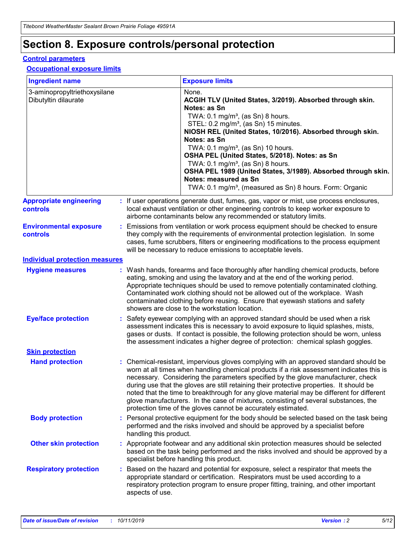## **Section 8. Exposure controls/personal protection**

#### **Control parameters**

#### **Occupational exposure limits**

| <b>Ingredient name</b>                               |                        | <b>Exposure limits</b>                                                                                                                                                                                                                                                                                                                                                                                                                                                                                                                                                                                                 |
|------------------------------------------------------|------------------------|------------------------------------------------------------------------------------------------------------------------------------------------------------------------------------------------------------------------------------------------------------------------------------------------------------------------------------------------------------------------------------------------------------------------------------------------------------------------------------------------------------------------------------------------------------------------------------------------------------------------|
| 3-aminopropyltriethoxysilane<br>Dibutyltin dilaurate |                        | None.<br>ACGIH TLV (United States, 3/2019). Absorbed through skin.<br>Notes: as Sn<br>TWA: 0.1 mg/m <sup>3</sup> , (as Sn) 8 hours.<br>STEL: 0.2 mg/m <sup>3</sup> , (as Sn) 15 minutes.<br>NIOSH REL (United States, 10/2016). Absorbed through skin.<br>Notes: as Sn<br>TWA: 0.1 mg/m <sup>3</sup> , (as Sn) 10 hours.<br>OSHA PEL (United States, 5/2018). Notes: as Sn<br>TWA: $0.1 \text{ mg/m}^3$ , (as Sn) 8 hours.<br>OSHA PEL 1989 (United States, 3/1989). Absorbed through skin.<br>Notes: measured as Sn<br>TWA: 0.1 mg/m <sup>3</sup> , (measured as Sn) 8 hours. Form: Organic                           |
| <b>Appropriate engineering</b><br><b>controls</b>    |                        | : If user operations generate dust, fumes, gas, vapor or mist, use process enclosures,<br>local exhaust ventilation or other engineering controls to keep worker exposure to<br>airborne contaminants below any recommended or statutory limits.                                                                                                                                                                                                                                                                                                                                                                       |
| <b>Environmental exposure</b><br><b>controls</b>     |                        | Emissions from ventilation or work process equipment should be checked to ensure<br>they comply with the requirements of environmental protection legislation. In some<br>cases, fume scrubbers, filters or engineering modifications to the process equipment<br>will be necessary to reduce emissions to acceptable levels.                                                                                                                                                                                                                                                                                          |
| <b>Individual protection measures</b>                |                        |                                                                                                                                                                                                                                                                                                                                                                                                                                                                                                                                                                                                                        |
| <b>Hygiene measures</b>                              |                        | : Wash hands, forearms and face thoroughly after handling chemical products, before<br>eating, smoking and using the lavatory and at the end of the working period.<br>Appropriate techniques should be used to remove potentially contaminated clothing.<br>Contaminated work clothing should not be allowed out of the workplace. Wash<br>contaminated clothing before reusing. Ensure that eyewash stations and safety<br>showers are close to the workstation location.                                                                                                                                            |
| <b>Eye/face protection</b>                           |                        | : Safety eyewear complying with an approved standard should be used when a risk<br>assessment indicates this is necessary to avoid exposure to liquid splashes, mists,<br>gases or dusts. If contact is possible, the following protection should be worn, unless<br>the assessment indicates a higher degree of protection: chemical splash goggles.                                                                                                                                                                                                                                                                  |
| <b>Skin protection</b>                               |                        |                                                                                                                                                                                                                                                                                                                                                                                                                                                                                                                                                                                                                        |
| <b>Hand protection</b>                               |                        | : Chemical-resistant, impervious gloves complying with an approved standard should be<br>worn at all times when handling chemical products if a risk assessment indicates this is<br>necessary. Considering the parameters specified by the glove manufacturer, check<br>during use that the gloves are still retaining their protective properties. It should be<br>noted that the time to breakthrough for any glove material may be different for different<br>glove manufacturers. In the case of mixtures, consisting of several substances, the<br>protection time of the gloves cannot be accurately estimated. |
| <b>Body protection</b>                               | handling this product. | : Personal protective equipment for the body should be selected based on the task being<br>performed and the risks involved and should be approved by a specialist before                                                                                                                                                                                                                                                                                                                                                                                                                                              |
| <b>Other skin protection</b>                         |                        | : Appropriate footwear and any additional skin protection measures should be selected<br>based on the task being performed and the risks involved and should be approved by a<br>specialist before handling this product.                                                                                                                                                                                                                                                                                                                                                                                              |
| <b>Respiratory protection</b>                        | aspects of use.        | : Based on the hazard and potential for exposure, select a respirator that meets the<br>appropriate standard or certification. Respirators must be used according to a<br>respiratory protection program to ensure proper fitting, training, and other important                                                                                                                                                                                                                                                                                                                                                       |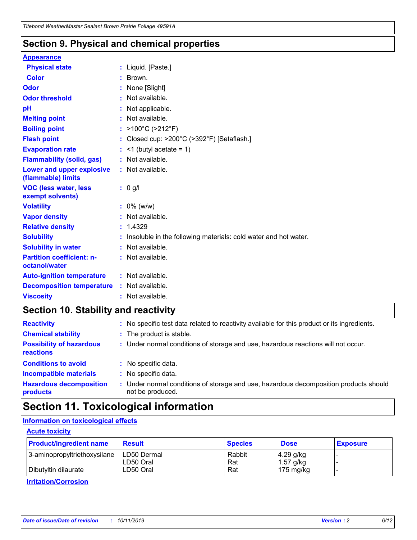### **Section 9. Physical and chemical properties**

#### **Appearance**

| <b>Physical state</b>                                  | : Liquid. [Paste.]                                              |
|--------------------------------------------------------|-----------------------------------------------------------------|
| <b>Color</b>                                           | Brown.                                                          |
| Odor                                                   | None [Slight]                                                   |
| <b>Odor threshold</b>                                  | $:$ Not available.                                              |
| рH                                                     | : Not applicable.                                               |
| <b>Melting point</b>                                   | : Not available.                                                |
| <b>Boiling point</b>                                   | : >100°C (>212°F)                                               |
| <b>Flash point</b>                                     | : Closed cup: $>200^{\circ}$ C ( $>392^{\circ}$ F) [Setaflash.] |
| <b>Evaporation rate</b>                                | $:$ <1 (butyl acetate = 1)                                      |
| <b>Flammability (solid, gas)</b>                       | : Not available.                                                |
| <b>Lower and upper explosive</b><br>(flammable) limits | : Not available.                                                |
|                                                        | : 0 g/l                                                         |
| <b>VOC (less water, less</b><br>exempt solvents)       |                                                                 |
| <b>Volatility</b>                                      | $: 0\%$ (w/w)                                                   |
| <b>Vapor density</b>                                   | : Not available.                                                |
| <b>Relative density</b>                                | : 1.4329                                                        |
| <b>Solubility</b>                                      | Insoluble in the following materials: cold water and hot water. |
| <b>Solubility in water</b>                             | $:$ Not available.                                              |
| <b>Partition coefficient: n-</b><br>octanol/water      | $:$ Not available.                                              |
| <b>Auto-ignition temperature</b>                       | : Not available.                                                |
| <b>Decomposition temperature</b>                       | : Not available.                                                |

## **Section 10. Stability and reactivity**

| <b>Reactivity</b>                            | : No specific test data related to reactivity available for this product or its ingredients.            |
|----------------------------------------------|---------------------------------------------------------------------------------------------------------|
| <b>Chemical stability</b>                    | : The product is stable.                                                                                |
| <b>Possibility of hazardous</b><br>reactions | : Under normal conditions of storage and use, hazardous reactions will not occur.                       |
| <b>Conditions to avoid</b>                   | : No specific data.                                                                                     |
| <b>Incompatible materials</b>                | : No specific data.                                                                                     |
| <b>Hazardous decomposition</b><br>products   | Under normal conditions of storage and use, hazardous decomposition products should<br>not be produced. |

## **Section 11. Toxicological information**

### **Information on toxicological effects**

#### **Acute toxicity**

| <b>Product/ingredient name</b> | <b>Result</b>           | <b>Species</b> | <b>Dose</b>                | <b>Exposure</b> |
|--------------------------------|-------------------------|----------------|----------------------------|-----------------|
| 3-aminopropyltriethoxysilane   | <b>ILD50 Dermal</b>     | Rabbit         | 4.29 g/kg                  |                 |
| Dibutyltin dilaurate           | ILD50 Oral<br>LD50 Oral | Rat<br>Rat     | $1.57$ g/kg<br>175 $mg/kg$ |                 |
|                                |                         |                |                            |                 |

**Irritation/Corrosion**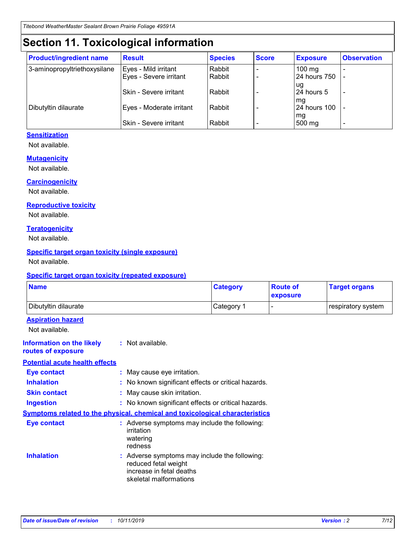## **Section 11. Toxicological information**

| <b>Product/ingredient name</b> | <b>Result</b>            | <b>Species</b> | <b>Score</b> | <b>Exposure</b>           | <b>Observation</b> |
|--------------------------------|--------------------------|----------------|--------------|---------------------------|--------------------|
| 3-aminopropyltriethoxysilane   | Eyes - Mild irritant     | Rabbit         |              | $100$ mg                  |                    |
|                                | Eyes - Severe irritant   | Rabbit         |              | 24 hours 750              |                    |
|                                |                          |                |              | ug                        |                    |
|                                | Skin - Severe irritant   | Rabbit         |              | 24 hours 5                | -                  |
| Dibutyltin dilaurate           | Eyes - Moderate irritant | Rabbit         |              | mg<br><b>24 hours 100</b> |                    |
|                                |                          |                |              | mg                        |                    |
|                                | Skin - Severe irritant   | Rabbit         |              | 500 mg                    | -                  |

#### **Sensitization**

Not available.

#### **Mutagenicity**

Not available.

#### **Carcinogenicity**

Not available.

#### **Reproductive toxicity**

Not available.

#### **Teratogenicity**

Not available.

#### **Specific target organ toxicity (single exposure)**

Not available.

#### **Specific target organ toxicity (repeated exposure)**

| <b>Name</b>                                                                  |                                                                                                                             | <b>Category</b> | <b>Route of</b><br>exposure | <b>Target organs</b> |
|------------------------------------------------------------------------------|-----------------------------------------------------------------------------------------------------------------------------|-----------------|-----------------------------|----------------------|
| Dibutyltin dilaurate                                                         |                                                                                                                             | Category 1      |                             | respiratory system   |
| <b>Aspiration hazard</b><br>Not available.                                   |                                                                                                                             |                 |                             |                      |
| <b>Information on the likely</b><br>routes of exposure                       | : Not available.                                                                                                            |                 |                             |                      |
| <b>Potential acute health effects</b>                                        |                                                                                                                             |                 |                             |                      |
| <b>Eye contact</b>                                                           | : May cause eye irritation.                                                                                                 |                 |                             |                      |
| <b>Inhalation</b>                                                            | : No known significant effects or critical hazards.                                                                         |                 |                             |                      |
| <b>Skin contact</b>                                                          | : May cause skin irritation.                                                                                                |                 |                             |                      |
| <b>Ingestion</b>                                                             | : No known significant effects or critical hazards.                                                                         |                 |                             |                      |
| Symptoms related to the physical, chemical and toxicological characteristics |                                                                                                                             |                 |                             |                      |
| <b>Eye contact</b>                                                           | : Adverse symptoms may include the following:<br>irritation<br>watering<br>redness                                          |                 |                             |                      |
| <b>Inhalation</b>                                                            | : Adverse symptoms may include the following:<br>reduced fetal weight<br>increase in fetal deaths<br>skeletal malformations |                 |                             |                      |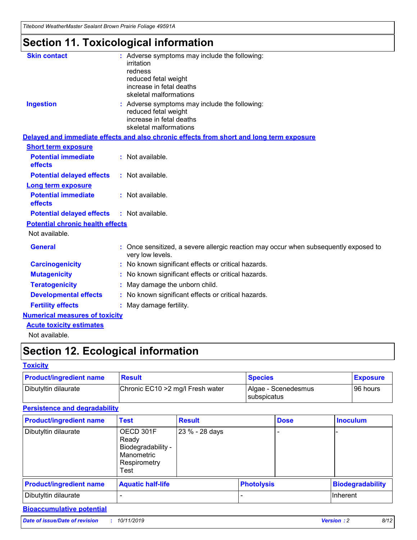*Titebond WeatherMaster Sealant Brown Prairie Foliage 49591A*

## **Section 11. Toxicological information**

| <b>Skin contact</b>                     | : Adverse symptoms may include the following:<br>irritation<br>redness<br>reduced fetal weight<br>increase in fetal deaths<br>skeletal malformations |
|-----------------------------------------|------------------------------------------------------------------------------------------------------------------------------------------------------|
| <b>Ingestion</b>                        | : Adverse symptoms may include the following:<br>reduced fetal weight<br>increase in fetal deaths<br>skeletal malformations                          |
|                                         | Delayed and immediate effects and also chronic effects from short and long term exposure                                                             |
| <b>Short term exposure</b>              |                                                                                                                                                      |
| <b>Potential immediate</b><br>effects   | : Not available.                                                                                                                                     |
| <b>Potential delayed effects</b>        | : Not available.                                                                                                                                     |
| <b>Long term exposure</b>               |                                                                                                                                                      |
| <b>Potential immediate</b><br>effects   | : Not available.                                                                                                                                     |
| <b>Potential delayed effects</b>        | : Not available.                                                                                                                                     |
| <b>Potential chronic health effects</b> |                                                                                                                                                      |
| Not available.                          |                                                                                                                                                      |
| <b>General</b>                          | : Once sensitized, a severe allergic reaction may occur when subsequently exposed to<br>very low levels.                                             |
| <b>Carcinogenicity</b>                  | : No known significant effects or critical hazards.                                                                                                  |
| <b>Mutagenicity</b>                     | : No known significant effects or critical hazards.                                                                                                  |
| <b>Teratogenicity</b>                   | May damage the unborn child.                                                                                                                         |
| <b>Developmental effects</b>            | : No known significant effects or critical hazards.                                                                                                  |
| <b>Fertility effects</b>                | : May damage fertility.                                                                                                                              |
| <b>Numerical measures of toxicity</b>   |                                                                                                                                                      |
| <b>Acute toxicity estimates</b>         |                                                                                                                                                      |
| الملحلة والمستحيط والمسالم              |                                                                                                                                                      |

Not available.

## **Section 12. Ecological information**

#### **Toxicity**

| <b>Product/ingredient name</b> | <b>Result</b>                     | <b>Species</b>                       | <b>Exposure</b> |
|--------------------------------|-----------------------------------|--------------------------------------|-----------------|
| Dibutyltin dilaurate           | Chronic EC10 > 2 mg/l Fresh water | Algae - Scenedesmus<br>I subspicatus | l 96 hours i    |

### **Persistence and degradability**

| <b>Product/ingredient name</b> | <b>Test</b>                                                                    | <b>Result</b>  |                   | <b>Dose</b> | <b>Inoculum</b>         |
|--------------------------------|--------------------------------------------------------------------------------|----------------|-------------------|-------------|-------------------------|
| Dibutyltin dilaurate           | OECD 301F<br>Ready<br>Biodegradability -<br>Manometric<br>Respirometry<br>Test | 23 % - 28 days |                   |             |                         |
| <b>Product/ingredient name</b> | <b>Aquatic half-life</b>                                                       |                | <b>Photolysis</b> |             | <b>Biodegradability</b> |
| Dibutyltin dilaurate           |                                                                                |                |                   |             | Inherent                |

### **Bioaccumulative potential**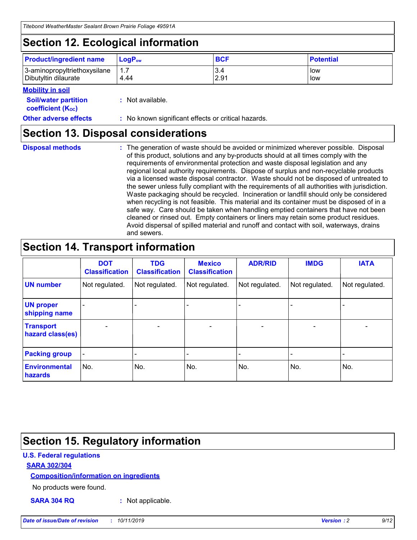## **Section 12. Ecological information**

| <b>Product/ingredient name</b> | $LoaPow$ | <b>BCF</b> | <b>Potential</b> |
|--------------------------------|----------|------------|------------------|
| 3-aminopropyltriethoxysilane   | 4.44     | 3.4        | low              |
| Dibutyltin dilaurate           |          | 2.91       | low              |

#### **Mobility in soil**

| <b>Soil/water partition</b><br>coefficient (K <sub>oc</sub> ) | : Not available.                                    |
|---------------------------------------------------------------|-----------------------------------------------------|
| <b>Other adverse effects</b>                                  | : No known significant effects or critical hazards. |

### **Section 13. Disposal considerations**

**Disposal methods :**

The generation of waste should be avoided or minimized wherever possible. Disposal of this product, solutions and any by-products should at all times comply with the requirements of environmental protection and waste disposal legislation and any regional local authority requirements. Dispose of surplus and non-recyclable products via a licensed waste disposal contractor. Waste should not be disposed of untreated to the sewer unless fully compliant with the requirements of all authorities with jurisdiction. Waste packaging should be recycled. Incineration or landfill should only be considered when recycling is not feasible. This material and its container must be disposed of in a safe way. Care should be taken when handling emptied containers that have not been cleaned or rinsed out. Empty containers or liners may retain some product residues. Avoid dispersal of spilled material and runoff and contact with soil, waterways, drains and sewers.

## **Section 14. Transport information**

|                                      | <b>DOT</b><br><b>Classification</b> | <b>TDG</b><br><b>Classification</b> | <b>Mexico</b><br><b>Classification</b> | <b>ADR/RID</b> | <b>IMDG</b>              | <b>IATA</b>              |
|--------------------------------------|-------------------------------------|-------------------------------------|----------------------------------------|----------------|--------------------------|--------------------------|
| <b>UN number</b>                     | Not regulated.                      | Not regulated.                      | Not regulated.                         | Not regulated. | Not regulated.           | Not regulated.           |
| <b>UN proper</b><br>shipping name    | $\blacksquare$                      |                                     |                                        |                |                          |                          |
| <b>Transport</b><br>hazard class(es) | $\blacksquare$                      | $\overline{\phantom{a}}$            | $\blacksquare$                         | $\blacksquare$ | $\overline{\phantom{a}}$ | $\blacksquare$           |
| <b>Packing group</b>                 | $\overline{\phantom{a}}$            | $\overline{\phantom{0}}$            | $\overline{\phantom{a}}$               | -              | $\overline{\phantom{0}}$ | $\overline{\phantom{a}}$ |
| <b>Environmental</b><br>hazards      | No.                                 | No.                                 | No.                                    | No.            | No.                      | No.                      |

## **Section 15. Regulatory information**

#### **U.S. Federal regulations**

#### **SARA 302/304**

#### **Composition/information on ingredients**

No products were found.

**SARA 304 RQ :** Not applicable.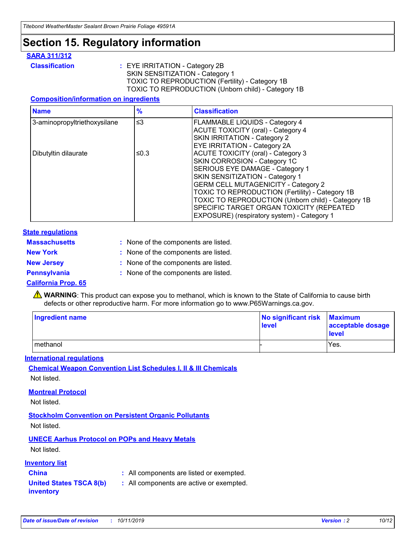## **Section 15. Regulatory information**

#### **SARA 311/312**

**Classification :** EYE IRRITATION - Category 2B SKIN SENSITIZATION - Category 1 TOXIC TO REPRODUCTION (Fertility) - Category 1B TOXIC TO REPRODUCTION (Unborn child) - Category 1B

#### **Composition/information on ingredients**

| <b>Name</b>                  | $\frac{9}{6}$ | <b>Classification</b>                                  |
|------------------------------|---------------|--------------------------------------------------------|
| 3-aminopropyltriethoxysilane | $\leq$ 3      | <b>FLAMMABLE LIQUIDS - Category 4</b>                  |
|                              |               | <b>ACUTE TOXICITY (oral) - Category 4</b>              |
|                              |               | SKIN IRRITATION - Category 2                           |
|                              |               | EYE IRRITATION - Category 2A                           |
| Dibutyltin dilaurate         | ≤0.3          | <b>ACUTE TOXICITY (oral) - Category 3</b>              |
|                              |               | SKIN CORROSION - Category 1C                           |
|                              |               | SERIOUS EYE DAMAGE - Category 1                        |
|                              |               | SKIN SENSITIZATION - Category 1                        |
|                              |               | <b>GERM CELL MUTAGENICITY - Category 2</b>             |
|                              |               | <b>TOXIC TO REPRODUCTION (Fertility) - Category 1B</b> |
|                              |               | TOXIC TO REPRODUCTION (Unborn child) - Category 1B     |
|                              |               | SPECIFIC TARGET ORGAN TOXICITY (REPEATED               |
|                              |               | EXPOSURE) (respiratory system) - Category 1            |

#### **State regulations**

| <b>Massachusetts</b> | : None of the components are listed. |
|----------------------|--------------------------------------|
| <b>New York</b>      | : None of the components are listed. |
| <b>New Jersey</b>    | : None of the components are listed. |
| <b>Pennsylvania</b>  | : None of the components are listed. |

#### **California Prop. 65**

**A** WARNING: This product can expose you to methanol, which is known to the State of California to cause birth defects or other reproductive harm. For more information go to www.P65Warnings.ca.gov.

| <b>Ingredient name</b> | No significant risk<br>level | <b>Maximum</b><br>acceptable dosage<br>level |
|------------------------|------------------------------|----------------------------------------------|
| methanol               |                              | Yes.                                         |

#### **International regulations**

**Chemical Weapon Convention List Schedules I, II & III Chemicals** Not listed.

#### **Montreal Protocol**

Not listed.

**Stockholm Convention on Persistent Organic Pollutants**

Not listed.

### **UNECE Aarhus Protocol on POPs and Heavy Metals**

Not listed.

#### **Inventory list**

### **China :** All components are listed or exempted.

**United States TSCA 8(b) inventory :** All components are active or exempted.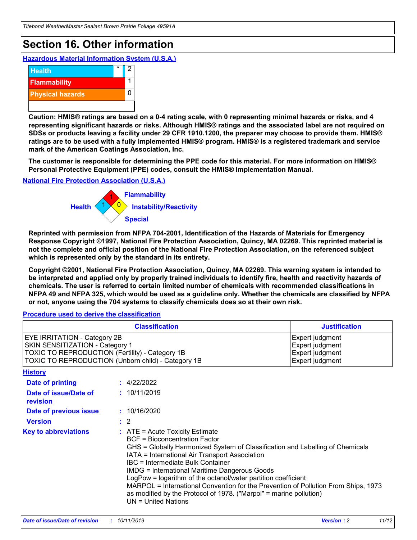## **Section 16. Other information**

**Hazardous Material Information System (U.S.A.)**



**Caution: HMIS® ratings are based on a 0-4 rating scale, with 0 representing minimal hazards or risks, and 4 representing significant hazards or risks. Although HMIS® ratings and the associated label are not required on SDSs or products leaving a facility under 29 CFR 1910.1200, the preparer may choose to provide them. HMIS® ratings are to be used with a fully implemented HMIS® program. HMIS® is a registered trademark and service mark of the American Coatings Association, Inc.**

**The customer is responsible for determining the PPE code for this material. For more information on HMIS® Personal Protective Equipment (PPE) codes, consult the HMIS® Implementation Manual.**

#### **National Fire Protection Association (U.S.A.)**



**Reprinted with permission from NFPA 704-2001, Identification of the Hazards of Materials for Emergency Response Copyright ©1997, National Fire Protection Association, Quincy, MA 02269. This reprinted material is not the complete and official position of the National Fire Protection Association, on the referenced subject which is represented only by the standard in its entirety.**

**Copyright ©2001, National Fire Protection Association, Quincy, MA 02269. This warning system is intended to be interpreted and applied only by properly trained individuals to identify fire, health and reactivity hazards of chemicals. The user is referred to certain limited number of chemicals with recommended classifications in NFPA 49 and NFPA 325, which would be used as a guideline only. Whether the chemicals are classified by NFPA or not, anyone using the 704 systems to classify chemicals does so at their own risk.**

#### **Procedure used to derive the classification**

| <b>Classification</b>                                                                                                                                                                  |                                                                                                                                                                                                                                                                   | <b>Justification</b>                                                                                                                                                                                                                                                                                       |  |
|----------------------------------------------------------------------------------------------------------------------------------------------------------------------------------------|-------------------------------------------------------------------------------------------------------------------------------------------------------------------------------------------------------------------------------------------------------------------|------------------------------------------------------------------------------------------------------------------------------------------------------------------------------------------------------------------------------------------------------------------------------------------------------------|--|
| <b>EYE IRRITATION - Category 2B</b><br>SKIN SENSITIZATION - Category 1<br><b>TOXIC TO REPRODUCTION (Fertility) - Category 1B</b><br>TOXIC TO REPRODUCTION (Unborn child) - Category 1B |                                                                                                                                                                                                                                                                   | Expert judgment<br>Expert judgment<br>Expert judgment<br>Expert judgment                                                                                                                                                                                                                                   |  |
| <b>History</b>                                                                                                                                                                         |                                                                                                                                                                                                                                                                   |                                                                                                                                                                                                                                                                                                            |  |
| Date of printing                                                                                                                                                                       | : 4/22/2022                                                                                                                                                                                                                                                       |                                                                                                                                                                                                                                                                                                            |  |
| Date of issue/Date of<br>revision                                                                                                                                                      | : 10/11/2019                                                                                                                                                                                                                                                      |                                                                                                                                                                                                                                                                                                            |  |
| Date of previous issue                                                                                                                                                                 | : 10/16/2020                                                                                                                                                                                                                                                      |                                                                                                                                                                                                                                                                                                            |  |
| <b>Version</b>                                                                                                                                                                         | $\therefore$ 2                                                                                                                                                                                                                                                    |                                                                                                                                                                                                                                                                                                            |  |
| <b>Key to abbreviations</b>                                                                                                                                                            | $\therefore$ ATE = Acute Toxicity Estimate<br><b>BCF</b> = Bioconcentration Factor<br>IATA = International Air Transport Association<br><b>IBC</b> = Intermediate Bulk Container<br><b>IMDG = International Maritime Dangerous Goods</b><br>$UN = United Nations$ | GHS = Globally Harmonized System of Classification and Labelling of Chemicals<br>LogPow = logarithm of the octanol/water partition coefficient<br>MARPOL = International Convention for the Prevention of Pollution From Ships, 1973<br>as modified by the Protocol of 1978. ("Marpol" = marine pollution) |  |